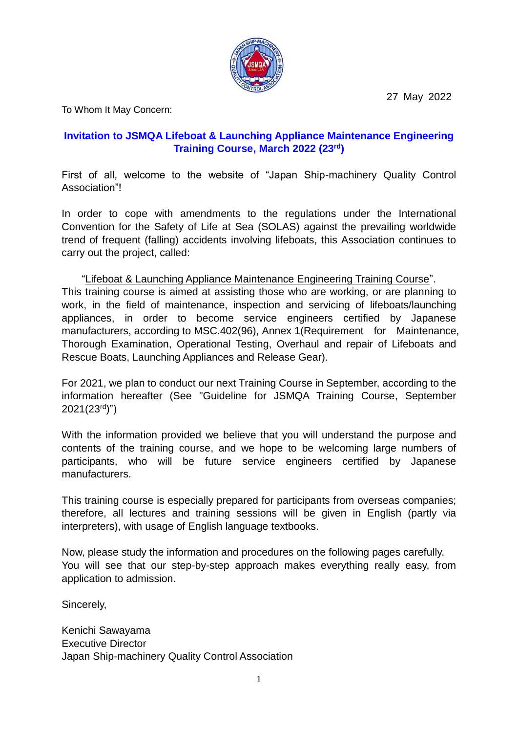27 May 2022



To Whom It May Concern:

# **Invitation to JSMQA Lifeboat & Launching Appliance Maintenance Engineering Training Course, March 2022 (23 rd )**

First of all, welcome to the website of "Japan Ship-machinery Quality Control Association"!

In order to cope with amendments to the regulations under the International Convention for the Safety of Life at Sea (SOLAS) against the prevailing worldwide trend of frequent (falling) accidents involving lifeboats, this Association continues to carry out the project, called:

#### "Lifeboat & Launching Appliance Maintenance Engineering Training Course".

This training course is aimed at assisting those who are working, or are planning to work, in the field of maintenance, inspection and servicing of lifeboats/launching appliances, in order to become service engineers certified by Japanese manufacturers, according to MSC.402(96), Annex 1(Requirement for Maintenance, Thorough Examination, Operational Testing, Overhaul and repair of Lifeboats and Rescue Boats, Launching Appliances and Release Gear).

For 2021, we plan to conduct our next Training Course in September, according to the information hereafter (See "Guideline for JSMQA Training Course, September 2021(23<sup>rd</sup>)")

With the information provided we believe that you will understand the purpose and contents of the training course, and we hope to be welcoming large numbers of participants, who will be future service engineers certified by Japanese manufacturers.

This training course is especially prepared for participants from overseas companies; therefore, all lectures and training sessions will be given in English (partly via interpreters), with usage of English language textbooks.

Now, please study the information and procedures on the following pages carefully. You will see that our step-by-step approach makes everything really easy, from application to admission.

Sincerely,

Kenichi Sawayama Executive Director Japan Ship-machinery Quality Control Association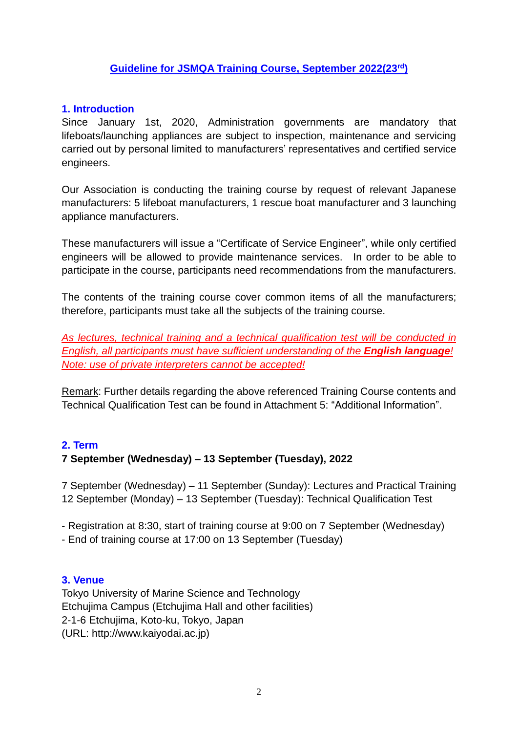# **Guideline for JSMQA Training Course, September 2022(23 rd)**

## **1. Introduction**

Since January 1st, 2020, Administration governments are mandatory that lifeboats/launching appliances are subject to inspection, maintenance and servicing carried out by personal limited to manufacturers' representatives and certified service engineers.

Our Association is conducting the training course by request of relevant Japanese manufacturers: 5 lifeboat manufacturers, 1 rescue boat manufacturer and 3 launching appliance manufacturers.

These manufacturers will issue a "Certificate of Service Engineer", while only certified engineers will be allowed to provide maintenance services. In order to be able to participate in the course, participants need recommendations from the manufacturers.

The contents of the training course cover common items of all the manufacturers; therefore, participants must take all the subjects of the training course.

*As lectures, technical training and a technical qualification test will be conducted in English, all participants must have sufficient understanding of the English language! Note: use of private interpreters cannot be accepted!*

Remark: Further details regarding the above referenced Training Course contents and Technical Qualification Test can be found in Attachment 5: "Additional Information".

#### **2. Term**

#### **7 September (Wednesday) – 13 September (Tuesday), 2022**

7 September (Wednesday) – 11 September (Sunday): Lectures and Practical Training 12 September (Monday) – 13 September (Tuesday): Technical Qualification Test

- Registration at 8:30, start of training course at 9:00 on 7 September (Wednesday)

- End of training course at 17:00 on 13 September (Tuesday)

#### **3. Venue**

Tokyo University of Marine Science and Technology Etchujima Campus (Etchujima Hall and other facilities) 2-1-6 Etchujima, Koto-ku, Tokyo, Japan (URL: http://www.kaiyodai.ac.jp)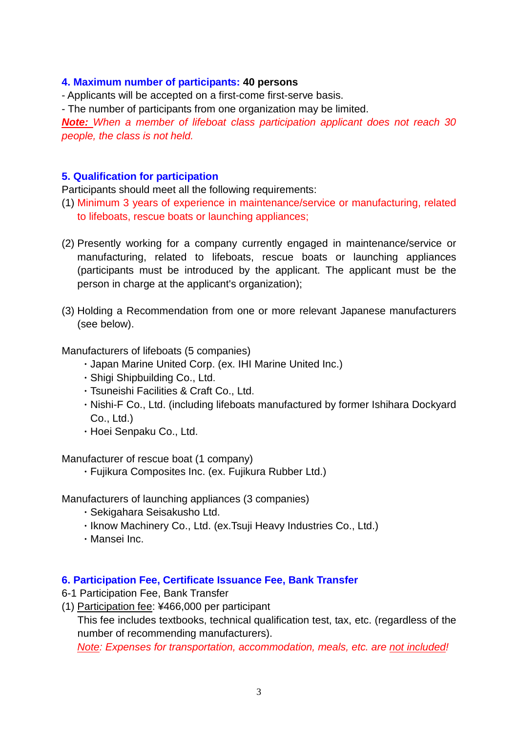#### **4. Maximum number of participants: 40 persons**

- Applicants will be accepted on a first-come first-serve basis.

- The number of participants from one organization may be limited.

*Note: When a member of lifeboat class participation applicant does not reach 30 people, the class is not held.*

## **5. Qualification for participation**

Participants should meet all the following requirements:

- (1) Minimum 3 years of experience in maintenance/service or manufacturing, related to lifeboats, rescue boats or launching appliances;
- (2) Presently working for a company currently engaged in maintenance/service or manufacturing, related to lifeboats, rescue boats or launching appliances (participants must be introduced by the applicant. The applicant must be the person in charge at the applicant's organization);
- (3) Holding a Recommendation from one or more relevant Japanese manufacturers (see below).

Manufacturers of lifeboats (5 companies)

- ・Japan Marine United Corp. (ex. IHI Marine United Inc.)
- ・Shigi Shipbuilding Co., Ltd.
- ・Tsuneishi Facilities & Craft Co., Ltd.
- ・Nishi-F Co., Ltd. (including lifeboats manufactured by former Ishihara Dockyard Co., Ltd.)
- ・Hoei Senpaku Co., Ltd.

Manufacturer of rescue boat (1 company)

・Fujikura Composites Inc. (ex. Fujikura Rubber Ltd.)

Manufacturers of launching appliances (3 companies)

- ・Sekigahara Seisakusho Ltd.
- ・Iknow Machinery Co., Ltd. (ex.Tsuji Heavy Industries Co., Ltd.)
- ・Mansei Inc.

#### **6. Participation Fee, Certificate Issuance Fee, Bank Transfer**

6-1 Participation Fee, Bank Transfer

(1) Participation fee: ¥466,000 per participant

This fee includes textbooks, technical qualification test, tax, etc. (regardless of the number of recommending manufacturers).

*Note: Expenses for transportation, accommodation, meals, etc. are not included!*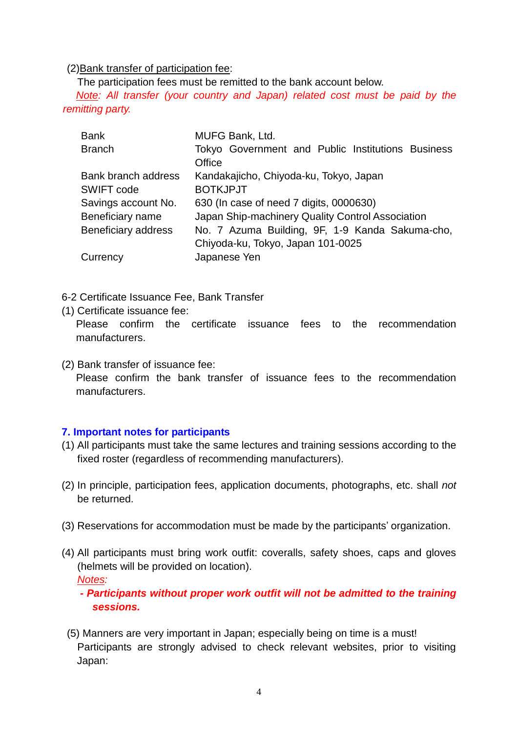#### (2)Bank transfer of participation fee:

The participation fees must be remitted to the bank account below.

*Note: All transfer (your country and Japan) related cost must be paid by the remitting party.*

| <b>Bank</b>                | MUFG Bank, Ltd.                                   |  |  |  |  |
|----------------------------|---------------------------------------------------|--|--|--|--|
| <b>Branch</b>              | Tokyo Government and Public Institutions Business |  |  |  |  |
|                            | Office                                            |  |  |  |  |
| Bank branch address        | Kandakajicho, Chiyoda-ku, Tokyo, Japan            |  |  |  |  |
| SWIFT code                 | <b>BOTKJPJT</b>                                   |  |  |  |  |
| Savings account No.        | 630 (In case of need 7 digits, 0000630)           |  |  |  |  |
| Beneficiary name           | Japan Ship-machinery Quality Control Association  |  |  |  |  |
| <b>Beneficiary address</b> | No. 7 Azuma Building, 9F, 1-9 Kanda Sakuma-cho,   |  |  |  |  |
|                            | Chiyoda-ku, Tokyo, Japan 101-0025                 |  |  |  |  |
| Currency                   | Japanese Yen                                      |  |  |  |  |

6-2 Certificate Issuance Fee, Bank Transfer

(1) Certificate issuance fee:

Please confirm the certificate issuance fees to the recommendation manufacturers.

(2) Bank transfer of issuance fee: Please confirm the bank transfer of issuance fees to the recommendation manufacturers.

# **7. Important notes for participants**

- (1) All participants must take the same lectures and training sessions according to the fixed roster (regardless of recommending manufacturers).
- (2) In principle, participation fees, application documents, photographs, etc. shall *not* be returned.
- (3) Reservations for accommodation must be made by the participants' organization.
- (4) All participants must bring work outfit: coveralls, safety shoes, caps and gloves (helmets will be provided on location).

*Notes:*

*- Participants without proper work outfit will not be admitted to the training sessions.*

(5) Manners are very important in Japan; especially being on time is a must! Participants are strongly advised to check relevant websites, prior to visiting Japan: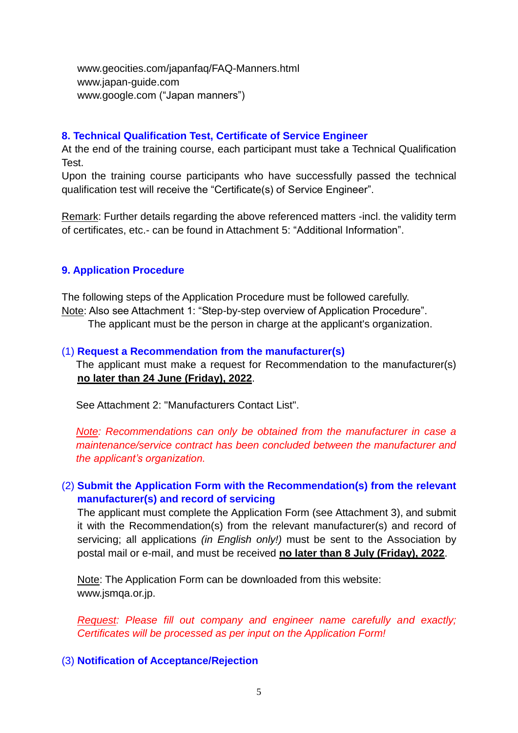www.geocities.com/japanfaq/FAQ-Manners.html www.japan-guide.com www.google.com ("Japan manners")

#### **8. Technical Qualification Test, Certificate of Service Engineer**

At the end of the training course, each participant must take a Technical Qualification Test.

Upon the training course participants who have successfully passed the technical qualification test will receive the "Certificate(s) of Service Engineer".

Remark: Further details regarding the above referenced matters -incl. the validity term of certificates, etc.- can be found in Attachment 5: "Additional Information".

# **9. Application Procedure**

The following steps of the Application Procedure must be followed carefully. Note: Also see Attachment 1: "Step-by-step overview of Application Procedure". The applicant must be the person in charge at the applicant's organization.

#### (1) **Request a Recommendation from the manufacturer(s)**

The applicant must make a request for Recommendation to the manufacturer(s) **no later than 24 June (Friday), 2022**.

See Attachment 2: "Manufacturers Contact List".

*Note: Recommendations can only be obtained from the manufacturer in case a maintenance/service contract has been concluded between the manufacturer and the applicant's organization.*

# (2) **Submit the Application Form with the Recommendation(s) from the relevant manufacturer(s) and record of servicing**

The applicant must complete the Application Form (see Attachment 3), and submit it with the Recommendation(s) from the relevant manufacturer(s) and record of servicing; all applications *(in English only!)* must be sent to the Association by postal mail or e-mail, and must be received **no later than 8 July (Friday), 2022**.

Note: The Application Form can be downloaded from this website: www.jsmqa.or.jp.

*Request: Please fill out company and engineer name carefully and exactly; Certificates will be processed as per input on the Application Form!*

(3) **Notification of Acceptance/Rejection**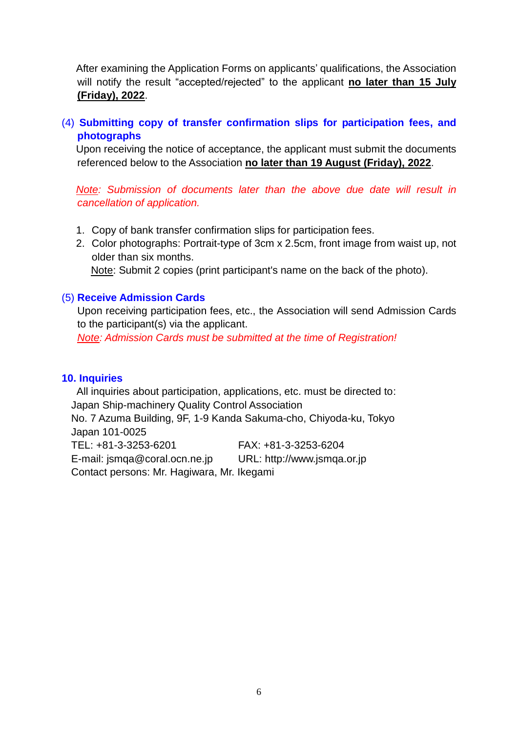After examining the Application Forms on applicants' qualifications, the Association will notify the result "accepted/rejected" to the applicant **no later than 15 July (Friday), 2022**.

# (4) **Submitting copy of transfer confirmation slips for participation fees, and photographs**

Upon receiving the notice of acceptance, the applicant must submit the documents referenced below to the Association **no later than 19 August (Friday), 2022**.

*Note: Submission of documents later than the above due date will result in cancellation of application.*

- 1. Copy of bank transfer confirmation slips for participation fees.
- 2. Color photographs: Portrait-type of 3cm x 2.5cm, front image from waist up, not older than six months. Note: Submit 2 copies (print participant's name on the back of the photo).

#### (5) **Receive Admission Cards**

Upon receiving participation fees, etc., the Association will send Admission Cards to the participant(s) via the applicant.

*Note: Admission Cards must be submitted at the time of Registration!*

#### **10. Inquiries**

All inquiries about participation, applications, etc. must be directed to: Japan Ship-machinery Quality Control Association No. 7 Azuma Building, 9F, 1-9 Kanda Sakuma-cho, Chiyoda-ku, Tokyo Japan 101-0025 TEL: +81-3-3253-6201 FAX: +81-3-3253-6204 E-mail: jsmqa@coral.ocn.ne.jp URL: http://www.jsmqa.or.jp Contact persons: Mr. Hagiwara, Mr. Ikegami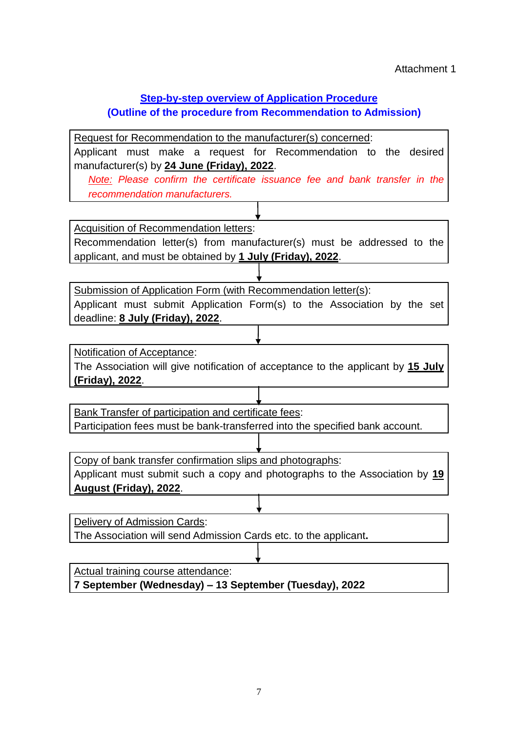# **Step-by-step overview of Application Procedure**

# **(Outline of the procedure from Recommendation to Admission)**

Request for Recommendation to the manufacturer(s) concerned: Applicant must make a request for Recommendation to the desired manufacturer(s) by **24 June (Friday), 2022**. *Note: Please confirm the certificate issuance fee and bank transfer in the* 

*recommendation manufacturers.*

Acquisition of Recommendation letters:

Recommendation letter(s) from manufacturer(s) must be addressed to the applicant, and must be obtained by **1 July (Friday), 2022**.

Submission of Application Form (with Recommendation letter(s): Applicant must submit Application Form(s) to the Association by the set deadline: **8 July (Friday), 2022**.

Notification of Acceptance:

The Association will give notification of acceptance to the applicant by **15 July (Friday), 2022**.

Bank Transfer of participation and certificate fees:

Participation fees must be bank-transferred into the specified bank account.

Copy of bank transfer confirmation slips and photographs:

Applicant must submit such a copy and photographs to the Association by **19 August (Friday), 2022**.

Delivery of Admission Cards:

The Association will send Admission Cards etc. to the applicant**.**

Actual training course attendance:

**7 September (Wednesday) – 13 September (Tuesday), 2022**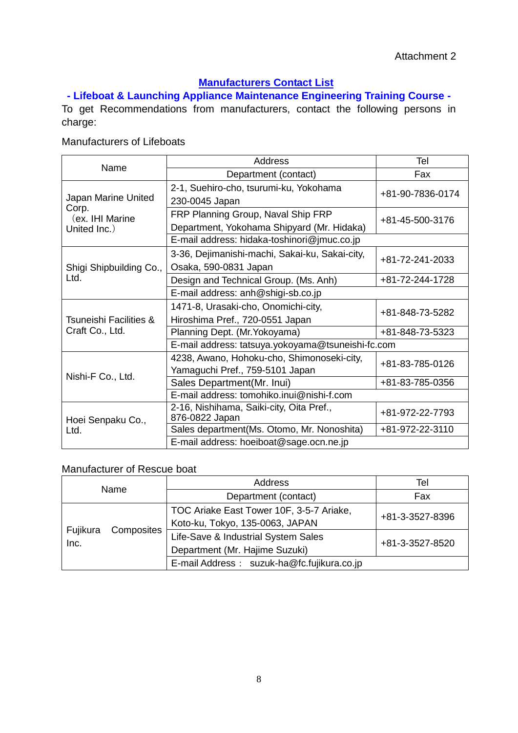# **Manufacturers Contact List**

**- Lifeboat & Launching Appliance Maintenance Engineering Training Course -**

To get Recommendations from manufacturers, contact the following persons in charge:

# Manufacturers of Lifeboats

| Name                                     | Address                                                                          | Tel              |  |  |
|------------------------------------------|----------------------------------------------------------------------------------|------------------|--|--|
|                                          | Department (contact)                                                             | Fax              |  |  |
| Japan Marine United                      | 2-1, Suehiro-cho, tsurumi-ku, Yokohama<br>230-0045 Japan                         | +81-90-7836-0174 |  |  |
| Corp.<br>(ex. IHI Marine<br>United Inc.) | FRP Planning Group, Naval Ship FRP<br>Department, Yokohama Shipyard (Mr. Hidaka) | +81-45-500-3176  |  |  |
|                                          | E-mail address: hidaka-toshinori@jmuc.co.jp                                      |                  |  |  |
| Shigi Shipbuilding Co.,                  | 3-36, Dejimanishi-machi, Sakai-ku, Sakai-city,<br>Osaka, 590-0831 Japan          | +81-72-241-2033  |  |  |
| Ltd.                                     | Design and Technical Group. (Ms. Anh)                                            | +81-72-244-1728  |  |  |
|                                          | E-mail address: anh@shigi-sb.co.jp                                               |                  |  |  |
| <b>Tsuneishi Facilities &amp;</b>        | 1471-8, Urasaki-cho, Onomichi-city,<br>Hiroshima Pref., 720-0551 Japan           | +81-848-73-5282  |  |  |
| Craft Co., Ltd.                          | Planning Dept. (Mr. Yokoyama)                                                    | +81-848-73-5323  |  |  |
|                                          | E-mail address: tatsuya.yokoyama@tsuneishi-fc.com                                |                  |  |  |
|                                          | 4238, Awano, Hohoku-cho, Shimonoseki-city,<br>Yamaguchi Pref., 759-5101 Japan    | +81-83-785-0126  |  |  |
| Nishi-F Co., Ltd.                        | Sales Department (Mr. Inui)                                                      | +81-83-785-0356  |  |  |
|                                          | E-mail address: tomohiko.inui@nishi-f.com                                        |                  |  |  |
| Hoei Senpaku Co.,                        | 2-16, Nishihama, Saiki-city, Oita Pref.,<br>876-0822 Japan                       | +81-972-22-7793  |  |  |
| Ltd.                                     | Sales department (Ms. Otomo, Mr. Nonoshita)                                      | +81-972-22-3110  |  |  |
|                                          | E-mail address: hoeiboat@sage.ocn.ne.jp                                          |                  |  |  |

#### Manufacturer of Rescue boat

| Name             |            | Address                                    | Tel             |  |
|------------------|------------|--------------------------------------------|-----------------|--|
|                  |            | Department (contact)                       | Fax             |  |
| Fujikura<br>Inc. |            | TOC Ariake East Tower 10F, 3-5-7 Ariake,   | +81-3-3527-8396 |  |
|                  | Composites | Koto-ku, Tokyo, 135-0063, JAPAN            |                 |  |
|                  |            | Life-Save & Industrial System Sales        | +81-3-3527-8520 |  |
|                  |            | Department (Mr. Hajime Suzuki)             |                 |  |
|                  |            | E-mail Address: suzuk-ha@fc.fujikura.co.jp |                 |  |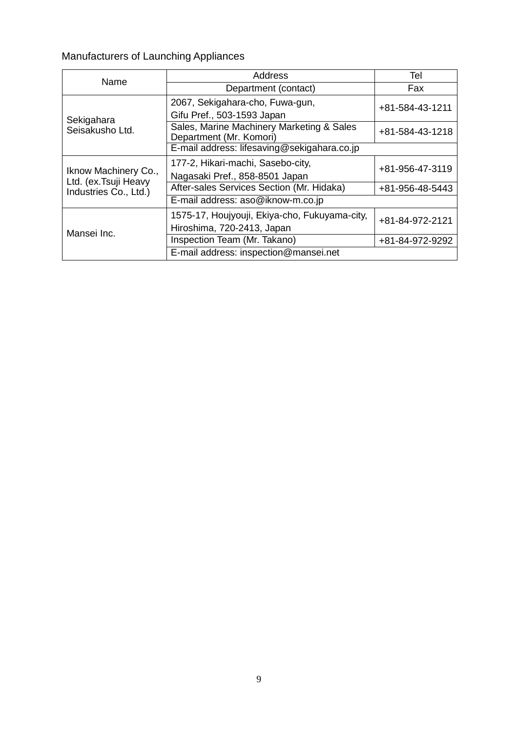# Manufacturers of Launching Appliances

| Name                                          | Address                                                              | Tel             |  |
|-----------------------------------------------|----------------------------------------------------------------------|-----------------|--|
|                                               | Department (contact)                                                 | Fax             |  |
|                                               | 2067, Sekigahara-cho, Fuwa-gun,                                      | +81-584-43-1211 |  |
| Sekigahara                                    | Gifu Pref., 503-1593 Japan                                           |                 |  |
| Seisakusho Ltd.                               | Sales, Marine Machinery Marketing & Sales<br>Department (Mr. Komori) | +81-584-43-1218 |  |
|                                               | E-mail address: lifesaving@sekigahara.co.jp                          |                 |  |
|                                               | 177-2, Hikari-machi, Sasebo-city,<br>+81-956-47-3119                 |                 |  |
| Iknow Machinery Co.,<br>Ltd. (ex. Tsuji Heavy | Nagasaki Pref., 858-8501 Japan                                       |                 |  |
| Industries Co., Ltd.)                         | After-sales Services Section (Mr. Hidaka)                            | +81-956-48-5443 |  |
|                                               | E-mail address: aso@iknow-m.co.jp                                    |                 |  |
|                                               | 1575-17, Houjyouji, Ekiya-cho, Fukuyama-city,                        | +81-84-972-2121 |  |
| Mansei Inc.                                   | Hiroshima, 720-2413, Japan                                           |                 |  |
|                                               | Inspection Team (Mr. Takano)                                         | +81-84-972-9292 |  |
|                                               | E-mail address: inspection@mansei.net                                |                 |  |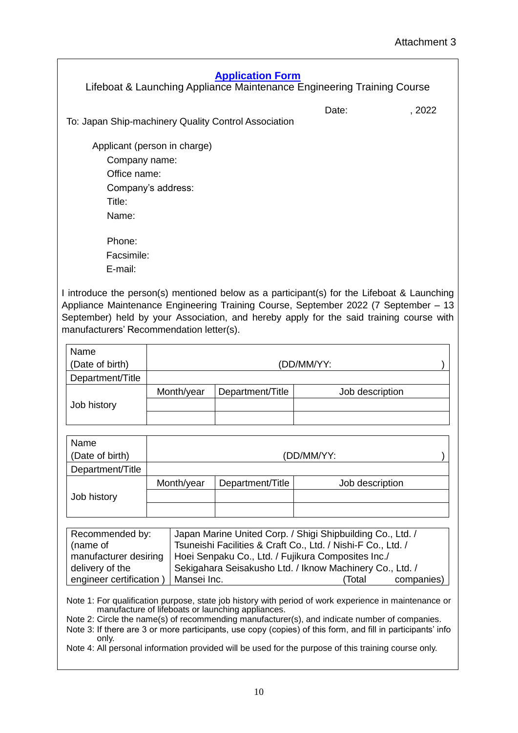| <b>Application Form</b><br>Lifeboat & Launching Appliance Maintenance Engineering Training Course |       |        |
|---------------------------------------------------------------------------------------------------|-------|--------|
| To: Japan Ship-machinery Quality Control Association                                              | Date: | . 2022 |
| Applicant (person in charge)                                                                      |       |        |
| Company name:                                                                                     |       |        |
| Office name:                                                                                      |       |        |
| Company's address:                                                                                |       |        |
| Title:                                                                                            |       |        |
| Name:                                                                                             |       |        |
| Phone:                                                                                            |       |        |
| Facsimile:                                                                                        |       |        |
| E-mail:                                                                                           |       |        |

I introduce the person(s) mentioned below as a participant(s) for the Lifeboat & Launching Appliance Maintenance Engineering Training Course, September 2022 (7 September – 13 September) held by your Association, and hereby apply for the said training course with manufacturers' Recommendation letter(s).

| Name             |            |                  |                 |  |  |
|------------------|------------|------------------|-----------------|--|--|
| (Date of birth)  | (DD/MM/YY: |                  |                 |  |  |
| Department/Title |            |                  |                 |  |  |
|                  | Month/year | Department/Title | Job description |  |  |
| Job history      |            |                  |                 |  |  |
|                  |            |                  |                 |  |  |

| Name             |            |                  |                 |  |  |
|------------------|------------|------------------|-----------------|--|--|
| (Date of birth)  | (DD/MM/YY: |                  |                 |  |  |
| Department/Title |            |                  |                 |  |  |
|                  | Month/year | Department/Title | Job description |  |  |
| Job history      |            |                  |                 |  |  |
|                  |            |                  |                 |  |  |

| Recommended by:                        | Japan Marine United Corp. / Shigi Shipbuilding Co., Ltd. /                 |        |            |
|----------------------------------------|----------------------------------------------------------------------------|--------|------------|
| (name of                               | Tsuneishi Facilities & Craft Co., Ltd. / Nishi-F Co., Ltd. /               |        |            |
|                                        | manufacturer desiring   Hoei Senpaku Co., Ltd. / Fujikura Composites Inc./ |        |            |
| delivery of the                        | Sekigahara Seisakusho Ltd. / Iknow Machinery Co., Ltd. /                   |        |            |
| engineer certification )   Mansei Inc. |                                                                            | 'Total | companies) |

Note 1: For qualification purpose, state job history with period of work experience in maintenance or manufacture of lifeboats or launching appliances.

Note 2: Circle the name(s) of recommending manufacturer(s), and indicate number of companies.

Note 3: If there are 3 or more participants, use copy (copies) of this form, and fill in participants' info only.

Note 4: All personal information provided will be used for the purpose of this training course only.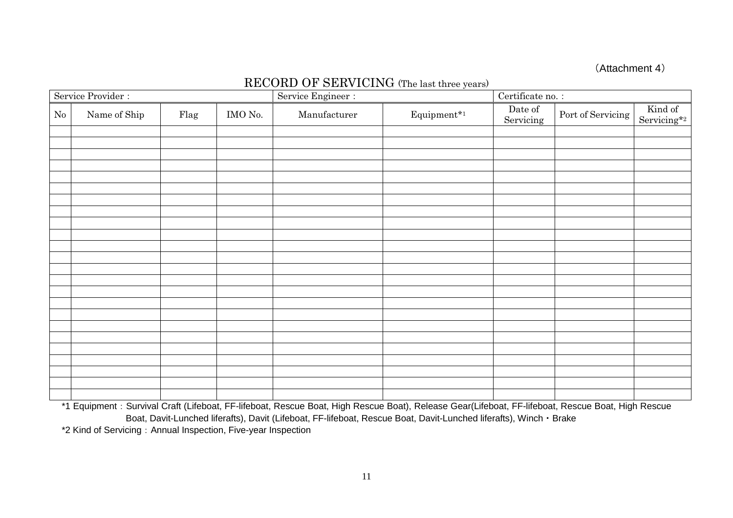#### (Attachment 4)

# RECORD OF SERVICING (The last three years)

| Service Provider : |              |      |         | Service Engineer : |             | Certificate no. :    |                   |                        |
|--------------------|--------------|------|---------|--------------------|-------------|----------------------|-------------------|------------------------|
| No                 | Name of Ship | Flag | IMO No. | Manufacturer       | Equipment*1 | Date of<br>Servicing | Port of Servicing | Kind of<br>Servicing*2 |
|                    |              |      |         |                    |             |                      |                   |                        |
|                    |              |      |         |                    |             |                      |                   |                        |
|                    |              |      |         |                    |             |                      |                   |                        |
|                    |              |      |         |                    |             |                      |                   |                        |
|                    |              |      |         |                    |             |                      |                   |                        |
|                    |              |      |         |                    |             |                      |                   |                        |
|                    |              |      |         |                    |             |                      |                   |                        |
|                    |              |      |         |                    |             |                      |                   |                        |
|                    |              |      |         |                    |             |                      |                   |                        |
|                    |              |      |         |                    |             |                      |                   |                        |
|                    |              |      |         |                    |             |                      |                   |                        |
|                    |              |      |         |                    |             |                      |                   |                        |
|                    |              |      |         |                    |             |                      |                   |                        |
|                    |              |      |         |                    |             |                      |                   |                        |
|                    |              |      |         |                    |             |                      |                   |                        |
|                    |              |      |         |                    |             |                      |                   |                        |
|                    |              |      |         |                    |             |                      |                   |                        |
|                    |              |      |         |                    |             |                      |                   |                        |
|                    |              |      |         |                    |             |                      |                   |                        |
|                    |              |      |         |                    |             |                      |                   |                        |
|                    |              |      |         |                    |             |                      |                   |                        |
|                    |              |      |         |                    |             |                      |                   |                        |
|                    |              |      |         |                    |             |                      |                   |                        |

\*1 Equipment: Survival Craft (Lifeboat, FF-lifeboat, Rescue Boat, High Rescue Boat), Release Gear(Lifeboat, FF-lifeboat, Rescue Boat, High Rescue Boat, Davit-Lunched liferafts), Davit (Lifeboat, FF-lifeboat, Rescue Boat, Davit-Lunched liferafts), Winch・Brake \*2 Kind of Servicing:Annual Inspection, Five-year Inspection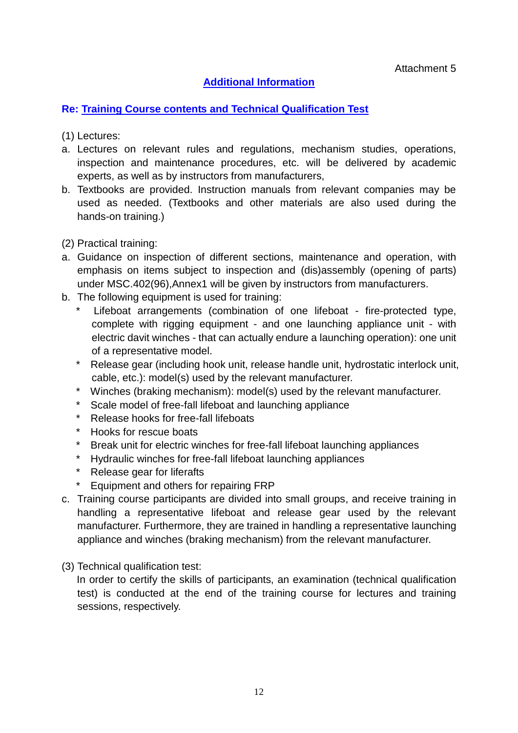# **Additional Information**

# **Re: Training Course contents and Technical Qualification Test**

- (1) Lectures:
- a. Lectures on relevant rules and regulations, mechanism studies, operations, inspection and maintenance procedures, etc. will be delivered by academic experts, as well as by instructors from manufacturers,
- b. Textbooks are provided. Instruction manuals from relevant companies may be used as needed. (Textbooks and other materials are also used during the hands-on training.)
- (2) Practical training:
- a. Guidance on inspection of different sections, maintenance and operation, with emphasis on items subject to inspection and (dis)assembly (opening of parts) under MSC.402(96),Annex1 will be given by instructors from manufacturers.
- b. The following equipment is used for training:
	- Lifeboat arrangements (combination of one lifeboat fire-protected type, complete with rigging equipment - and one launching appliance unit - with electric davit winches - that can actually endure a launching operation): one unit of a representative model.
	- \* Release gear (including hook unit, release handle unit, hydrostatic interlock unit, cable, etc.): model(s) used by the relevant manufacturer.
	- \* Winches (braking mechanism): model(s) used by the relevant manufacturer.
	- Scale model of free-fall lifeboat and launching appliance
	- Release hooks for free-fall lifeboats
	- \* Hooks for rescue boats
	- Break unit for electric winches for free-fall lifeboat launching appliances
	- \* Hydraulic winches for free-fall lifeboat launching appliances
	- \* Release gear for liferafts
	- Equipment and others for repairing FRP
- c. Training course participants are divided into small groups, and receive training in handling a representative lifeboat and release gear used by the relevant manufacturer. Furthermore, they are trained in handling a representative launching appliance and winches (braking mechanism) from the relevant manufacturer.
- (3) Technical qualification test:

In order to certify the skills of participants, an examination (technical qualification test) is conducted at the end of the training course for lectures and training sessions, respectively.